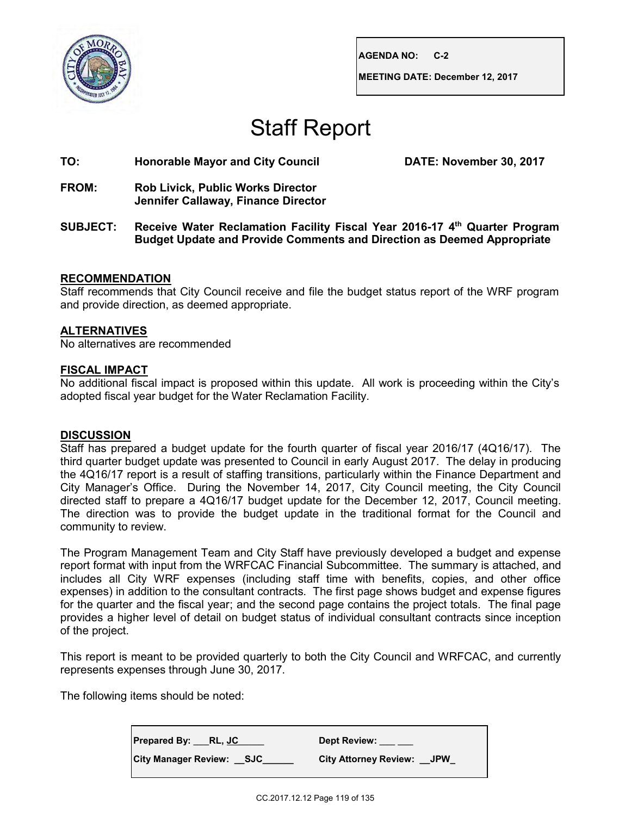

**AGENDA NO: C-2**

**MEETING DATE: December 12, 2017**

# Staff Report

## **TO: Honorable Mayor and City Council DATE: November 30, 2017**

- **FROM: Rob Livick, Public Works Director Jennifer Callaway, Finance Director**
- **SUBJECT: Receive Water Reclamation Facility Fiscal Year 2016-17 4th Quarter Program Budget Update and Provide Comments and Direction as Deemed Appropriate**

### **RECOMMENDATION**

Staff recommends that City Council receive and file the budget status report of the WRF program and provide direction, as deemed appropriate.

## **ALTERNATIVES**

No alternatives are recommended

### **FISCAL IMPACT**

No additional fiscal impact is proposed within this update. All work is proceeding within the City's adopted fiscal year budget for the Water Reclamation Facility.

### **DISCUSSION**

Staff has prepared a budget update for the fourth quarter of fiscal year 2016/17 (4Q16/17). The third quarter budget update was presented to Council in early August 2017. The delay in producing the 4Q16/17 report is a result of staffing transitions, particularly within the Finance Department and City Manager's Office. During the November 14, 2017, City Council meeting, the City Council directed staff to prepare a 4Q16/17 budget update for the December 12, 2017, Council meeting. The direction was to provide the budget update in the traditional format for the Council and community to review.

The Program Management Team and City Staff have previously developed a budget and expense report format with input from the WRFCAC Financial Subcommittee. The summary is attached, and includes all City WRF expenses (including staff time with benefits, copies, and other office expenses) in addition to the consultant contracts. The first page shows budget and expense figures for the quarter and the fiscal year; and the second page contains the project totals. The final page provides a higher level of detail on budget status of individual consultant contracts since inception of the project.

This report is meant to be provided quarterly to both the City Council and WRFCAC, and currently represents expenses through June 30, 2017.

The following items should be noted:

**Prepared By: \_\_\_RL, JC\_\_\_\_\_ Dept Review: \_\_\_ \_\_\_ City Manager Review: \_\_SJC\_\_\_\_\_\_ City Attorney Review: \_\_JPW\_**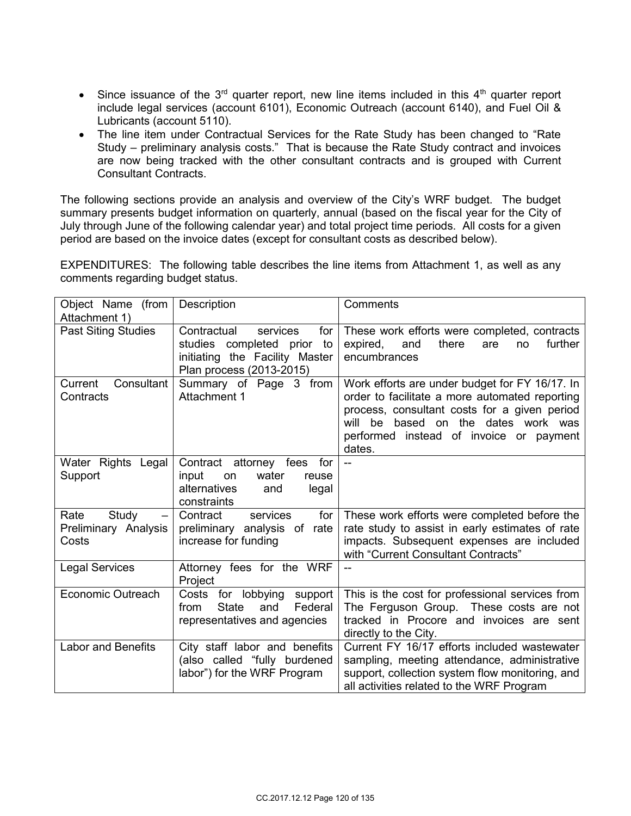- Since issuance of the  $3<sup>rd</sup>$  quarter report, new line items included in this  $4<sup>th</sup>$  quarter report include legal services (account 6101), Economic Outreach (account 6140), and Fuel Oil & Lubricants (account 5110).
- The line item under Contractual Services for the Rate Study has been changed to "Rate Study – preliminary analysis costs." That is because the Rate Study contract and invoices are now being tracked with the other consultant contracts and is grouped with Current Consultant Contracts.

The following sections provide an analysis and overview of the City's WRF budget. The budget summary presents budget information on quarterly, annual (based on the fiscal year for the City of July through June of the following calendar year) and total project time periods. All costs for a given period are based on the invoice dates (except for consultant costs as described below).

EXPENDITURES: The following table describes the line items from Attachment 1, as well as any comments regarding budget status.

| Object Name (from                              | Description                                                                                                                   | Comments                                                                                                                                                                                                                                           |  |  |  |  |
|------------------------------------------------|-------------------------------------------------------------------------------------------------------------------------------|----------------------------------------------------------------------------------------------------------------------------------------------------------------------------------------------------------------------------------------------------|--|--|--|--|
| Attachment 1)                                  |                                                                                                                               |                                                                                                                                                                                                                                                    |  |  |  |  |
| <b>Past Siting Studies</b>                     | for<br>Contractual<br>services<br>studies completed prior<br>to<br>initiating the Facility Master<br>Plan process (2013-2015) | These work efforts were completed, contracts<br>further<br>expired,<br>and<br>there<br>are<br>no<br>encumbrances                                                                                                                                   |  |  |  |  |
| Consultant<br>Current<br>Contracts             | Summary of Page 3 from<br>Attachment 1                                                                                        | Work efforts are under budget for FY 16/17. In<br>order to facilitate a more automated reporting<br>process, consultant costs for a given period<br>based on the dates work was<br>will<br>be<br>performed instead of invoice or payment<br>dates. |  |  |  |  |
| Water Rights Legal<br>Support                  | Contract attorney fees<br>for<br>input<br>water<br>on<br>reuse<br>alternatives<br>legal<br>and<br>constraints                 |                                                                                                                                                                                                                                                    |  |  |  |  |
| Rate<br>Study<br>Preliminary Analysis<br>Costs | Contract<br>services<br>for<br>preliminary analysis of rate<br>increase for funding                                           | These work efforts were completed before the<br>rate study to assist in early estimates of rate<br>impacts. Subsequent expenses are included<br>with "Current Consultant Contracts"                                                                |  |  |  |  |
| <b>Legal Services</b>                          | Attorney fees for the WRF<br>Project                                                                                          |                                                                                                                                                                                                                                                    |  |  |  |  |
| <b>Economic Outreach</b>                       | Costs for lobbying<br>support<br><b>State</b><br>Federal<br>and<br>from<br>representatives and agencies                       | This is the cost for professional services from<br>The Ferguson Group. These costs are not<br>tracked in Procore and invoices are sent<br>directly to the City.                                                                                    |  |  |  |  |
| <b>Labor and Benefits</b>                      | City staff labor and benefits<br>(also called "fully burdened<br>labor") for the WRF Program                                  | Current FY 16/17 efforts included wastewater<br>sampling, meeting attendance, administrative<br>support, collection system flow monitoring, and<br>all activities related to the WRF Program                                                       |  |  |  |  |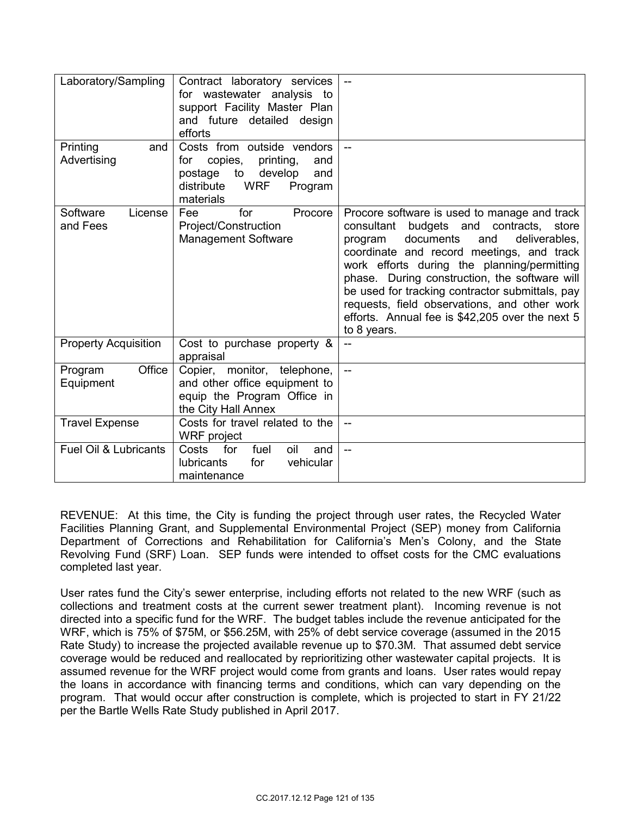| Laboratory/Sampling              | Contract laboratory services<br>for wastewater analysis to<br>support Facility Master Plan<br>and future detailed design<br>efforts                     |                                                                                                                                                                                                                                                                                                                                                                                                                                                                 |
|----------------------------------|---------------------------------------------------------------------------------------------------------------------------------------------------------|-----------------------------------------------------------------------------------------------------------------------------------------------------------------------------------------------------------------------------------------------------------------------------------------------------------------------------------------------------------------------------------------------------------------------------------------------------------------|
| Printing<br>and<br>Advertising   | Costs from outside vendors<br>copies,<br>printing,<br>and<br>for<br>to<br>develop<br>postage<br>and<br><b>WRF</b><br>distribute<br>Program<br>materials |                                                                                                                                                                                                                                                                                                                                                                                                                                                                 |
| Software<br>License<br>and Fees  | for<br>Procore<br>Fee<br>Project/Construction<br><b>Management Software</b>                                                                             | Procore software is used to manage and track<br>budgets and contracts,<br>consultant<br>store<br>documents<br>deliverables.<br>program<br>and<br>coordinate and record meetings, and track<br>work efforts during the planning/permitting<br>phase. During construction, the software will<br>be used for tracking contractor submittals, pay<br>requests, field observations, and other work<br>efforts. Annual fee is \$42,205 over the next 5<br>to 8 years. |
| <b>Property Acquisition</b>      | Cost to purchase property &<br>appraisal                                                                                                                |                                                                                                                                                                                                                                                                                                                                                                                                                                                                 |
| Office<br>Program<br>Equipment   | Copier,<br>monitor, telephone,<br>and other office equipment to<br>equip the Program Office in<br>the City Hall Annex                                   | Ц.,                                                                                                                                                                                                                                                                                                                                                                                                                                                             |
| <b>Travel Expense</b>            | Costs for travel related to the<br><b>WRF</b> project                                                                                                   | $-$                                                                                                                                                                                                                                                                                                                                                                                                                                                             |
| <b>Fuel Oil &amp; Lubricants</b> | fuel<br>oil<br>Costs<br>for<br>and<br>for<br>vehicular<br><b>lubricants</b><br>maintenance                                                              | $\overline{a}$                                                                                                                                                                                                                                                                                                                                                                                                                                                  |

REVENUE: At this time, the City is funding the project through user rates, the Recycled Water Facilities Planning Grant, and Supplemental Environmental Project (SEP) money from California Department of Corrections and Rehabilitation for California's Men's Colony, and the State Revolving Fund (SRF) Loan. SEP funds were intended to offset costs for the CMC evaluations completed last year.

User rates fund the City's sewer enterprise, including efforts not related to the new WRF (such as collections and treatment costs at the current sewer treatment plant). Incoming revenue is not directed into a specific fund for the WRF. The budget tables include the revenue anticipated for the WRF, which is 75% of \$75M, or \$56.25M, with 25% of debt service coverage (assumed in the 2015 Rate Study) to increase the projected available revenue up to \$70.3M. That assumed debt service coverage would be reduced and reallocated by reprioritizing other wastewater capital projects. It is assumed revenue for the WRF project would come from grants and loans. User rates would repay the loans in accordance with financing terms and conditions, which can vary depending on the program. That would occur after construction is complete, which is projected to start in FY 21/22 per the Bartle Wells Rate Study published in April 2017.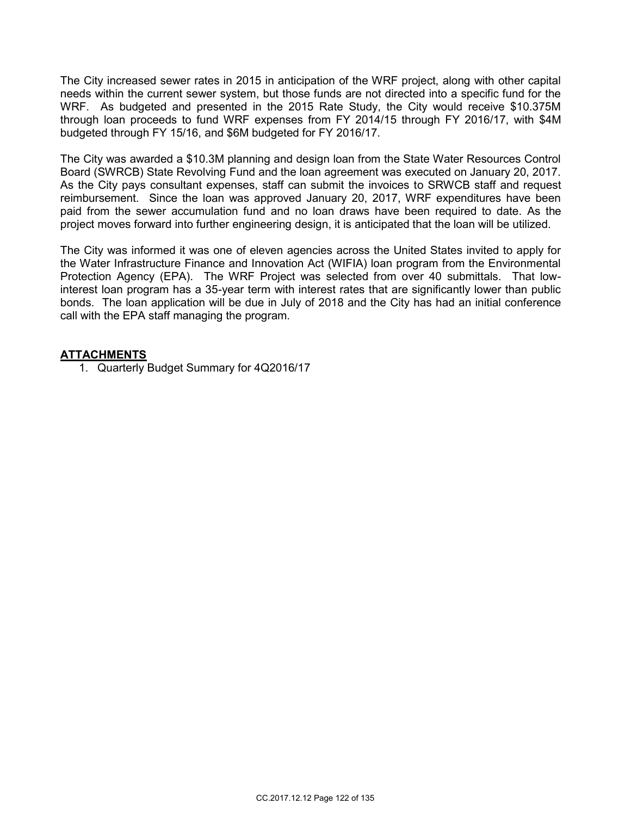The City increased sewer rates in 2015 in anticipation of the WRF project, along with other capital needs within the current sewer system, but those funds are not directed into a specific fund for the WRF. As budgeted and presented in the 2015 Rate Study, the City would receive \$10.375M through loan proceeds to fund WRF expenses from FY 2014/15 through FY 2016/17, with \$4M budgeted through FY 15/16, and \$6M budgeted for FY 2016/17.

The City was awarded a \$10.3M planning and design loan from the State Water Resources Control Board (SWRCB) State Revolving Fund and the loan agreement was executed on January 20, 2017. As the City pays consultant expenses, staff can submit the invoices to SRWCB staff and request reimbursement. Since the loan was approved January 20, 2017, WRF expenditures have been paid from the sewer accumulation fund and no loan draws have been required to date. As the project moves forward into further engineering design, it is anticipated that the loan will be utilized.

The City was informed it was one of eleven agencies across the United States invited to apply for the Water Infrastructure Finance and Innovation Act (WIFIA) loan program from the Environmental Protection Agency (EPA). The WRF Project was selected from over 40 submittals. That lowinterest loan program has a 35-year term with interest rates that are significantly lower than public bonds. The loan application will be due in July of 2018 and the City has had an initial conference call with the EPA staff managing the program.

## **ATTACHMENTS**

1. Quarterly Budget Summary for 4Q2016/17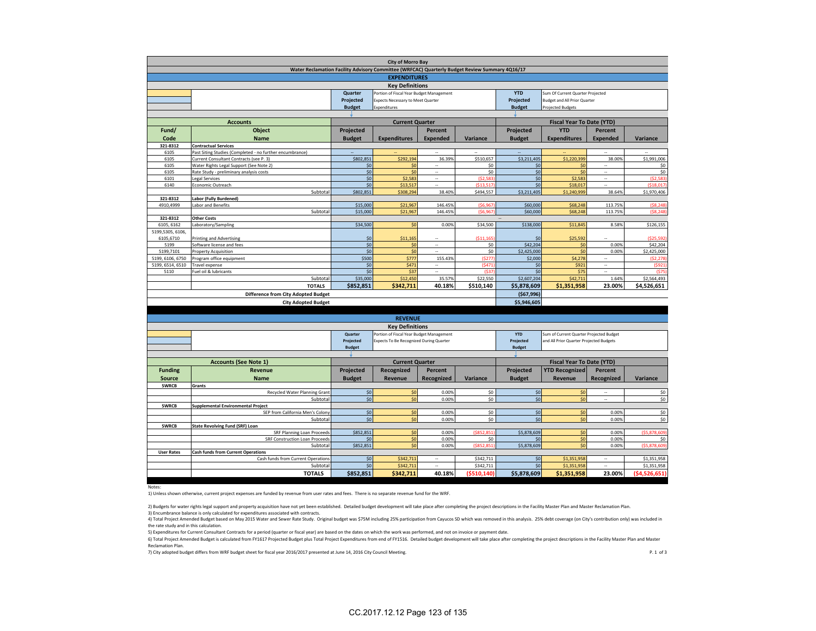| <b>City of Morro Bay</b>                                                                       |                                                                        |                                                      |                                          |                          |            |                                                       |                                         |                          |               |  |  |
|------------------------------------------------------------------------------------------------|------------------------------------------------------------------------|------------------------------------------------------|------------------------------------------|--------------------------|------------|-------------------------------------------------------|-----------------------------------------|--------------------------|---------------|--|--|
| Water Reclamation Facility Advisory Committee (WRFCAC) Quarterly Budget Review Summary 4Q16/17 |                                                                        |                                                      |                                          |                          |            |                                                       |                                         |                          |               |  |  |
| <b>EXPENDITURES</b>                                                                            |                                                                        |                                                      |                                          |                          |            |                                                       |                                         |                          |               |  |  |
|                                                                                                |                                                                        |                                                      |                                          |                          |            |                                                       |                                         |                          |               |  |  |
| <b>Key Definitions</b>                                                                         |                                                                        |                                                      |                                          |                          |            |                                                       |                                         |                          |               |  |  |
|                                                                                                |                                                                        | Quarter                                              | Portion of Fiscal Year Budget Management |                          |            | <b>YTD</b>                                            | Sum Of Current Quarter Projected        |                          |               |  |  |
|                                                                                                |                                                                        | Projected                                            | Expects Necessary to Meet Quarter        |                          |            | Projected                                             | <b>Budget and All Prior Quarter</b>     |                          |               |  |  |
|                                                                                                |                                                                        | <b>Budget</b>                                        | Expenditures                             |                          |            | <b>Budget</b><br><b>Projected Budgets</b>             |                                         |                          |               |  |  |
|                                                                                                |                                                                        |                                                      |                                          |                          |            | <b>Fiscal Year To Date (YTD)</b>                      |                                         |                          |               |  |  |
|                                                                                                | <b>Accounts</b>                                                        | <b>Current Quarter</b>                               |                                          |                          |            |                                                       |                                         |                          |               |  |  |
| Fund/                                                                                          | Object                                                                 | Projected                                            |                                          | <b>Percent</b>           |            | Projected                                             | <b>YTD</b>                              | Percent                  |               |  |  |
| Code                                                                                           | Name                                                                   | <b>Budget</b>                                        | <b>Expenditures</b>                      | <b>Expended</b>          | Variance   | <b>Budget</b>                                         | <b>Expenditures</b>                     | <b>Expended</b>          | Variance      |  |  |
| 321-8312                                                                                       | <b>Contractual Services</b>                                            |                                                      |                                          |                          |            |                                                       |                                         |                          |               |  |  |
| 6105                                                                                           | Past Siting Studies (Completed - no further encumbrance)               | u,                                                   |                                          | $\ddot{\phantom{a}}$     | à.         | $\overline{\phantom{a}}$                              |                                         |                          | ÷.            |  |  |
| 6105                                                                                           | Current Consultant Contracts (see P. 3)                                | \$802,851                                            | \$292,194                                | 36.399                   | \$510,657  | \$3,211,405                                           | \$1,220,399                             | 38.00%                   | \$1,991,006   |  |  |
| 6105                                                                                           | Water Rights Legal Support (See Note 2)                                | \$0                                                  | \$0                                      | $\ddot{\phantom{a}}$     | \$0        | \$0                                                   | \$0                                     | ۰.                       | \$0           |  |  |
| 6105                                                                                           | Rate Study - preliminary analysis costs                                | \$0                                                  | \$0                                      | $\overline{\phantom{a}}$ | \$0        | \$0                                                   | \$0                                     | $\sim$                   | \$0           |  |  |
| 6101                                                                                           | Legal Services                                                         | \$0                                                  | \$2,583                                  | $\overline{\phantom{a}}$ | (52, 583)  | \$0                                                   | \$2,583                                 | $\overline{\phantom{a}}$ | (52, 583)     |  |  |
| 6140                                                                                           | Economic Outreach                                                      | \$0                                                  | \$13,517                                 | $\sim$                   | (\$13.517  | \$0                                                   | \$18,017                                | $\overline{\phantom{a}}$ | (\$18.017     |  |  |
|                                                                                                | Subtotal                                                               | \$802,851                                            | \$308,294                                | 38.40%                   | \$494,557  | \$3,211,405                                           | \$1,240,999                             | 38.64%                   | \$1,970,406   |  |  |
| 321-8312                                                                                       | Labor (Fully Burdened)                                                 |                                                      |                                          |                          |            |                                                       |                                         |                          |               |  |  |
| 4910,4999                                                                                      | Labor and Benefits                                                     | \$15,000                                             | \$21,967                                 | 146.45%                  | (56, 96)   | \$60,000                                              | \$68,248                                | 113.75%                  | (58, 248)     |  |  |
|                                                                                                | Subtota                                                                | \$15,000                                             | \$21,967                                 | 146.45%                  | (\$6.967   | \$60,000                                              | \$68,248                                | 113.75%                  | (S8.248)      |  |  |
| 321-8312                                                                                       | <b>Other Costs</b>                                                     |                                                      |                                          |                          |            |                                                       |                                         |                          |               |  |  |
| 6105, 6162                                                                                     | Laboratory/Sampling                                                    | \$34,500                                             | \$0                                      | 0.00%                    | \$34,500   | \$138,000                                             | \$11,845                                | 8.58%                    | \$126,155     |  |  |
| 5199,5305, 6106,                                                                               |                                                                        |                                                      |                                          |                          |            |                                                       |                                         |                          |               |  |  |
| 6105,6710                                                                                      | Printing and Advertising                                               | \$0                                                  | \$11,165                                 | $\sim$                   | (511, 165  | \$0                                                   | \$25,592                                | ٠.                       | (\$25,592]    |  |  |
| 5199                                                                                           | Software license and fees                                              | \$0                                                  | \$0                                      | ÷.                       | \$0        | \$42,204                                              | \$0                                     | 0.00%                    | \$42,204      |  |  |
| 5199,7101                                                                                      | <b>Property Acquisition</b>                                            | \$0                                                  | \$0                                      | $\overline{\phantom{a}}$ | \$0        | \$2,425,000                                           | \$0                                     | 0.00%                    | \$2,425,000   |  |  |
|                                                                                                |                                                                        |                                                      |                                          |                          |            |                                                       |                                         |                          |               |  |  |
| 5199, 6106, 6750                                                                               | Program office equipment                                               | \$500                                                | \$777                                    | 155.439                  | (S27)      | \$2,000                                               | \$4,278                                 | ÷.                       | (52.278       |  |  |
| 5199, 6514, 6510                                                                               | Travel expense                                                         | \$0                                                  | \$471                                    | $\sim$                   | (S471)     | \$0                                                   | \$921                                   | $\overline{\phantom{a}}$ | (5921         |  |  |
| 5110                                                                                           | Fuel oil & lubricants                                                  | \$0                                                  | \$37                                     |                          | (53)       | \$0                                                   | \$75                                    |                          | 1575          |  |  |
|                                                                                                | Subtotal                                                               | \$35,000                                             | \$12,450                                 | 35.57%                   | \$22,550   | \$2,607,204                                           | \$42,711                                | 1.64%                    | \$2,564,493   |  |  |
|                                                                                                | <b>TOTALS</b>                                                          | \$852,851                                            | \$342,711                                | 40.18%                   | \$510,140  | \$5,878,609                                           | \$1,351,958                             | 23.00%                   | \$4,526,651   |  |  |
|                                                                                                | <b>Difference from City Adopted Budget</b>                             |                                                      |                                          |                          |            | ( \$67, 996)                                          |                                         |                          |               |  |  |
|                                                                                                | <b>City Adopted Budget</b>                                             |                                                      |                                          |                          |            | \$5,946,605                                           |                                         |                          |               |  |  |
|                                                                                                |                                                                        |                                                      |                                          |                          |            |                                                       |                                         |                          |               |  |  |
|                                                                                                |                                                                        |                                                      |                                          |                          |            |                                                       |                                         |                          |               |  |  |
|                                                                                                |                                                                        |                                                      | <b>REVENUE</b>                           |                          |            |                                                       |                                         |                          |               |  |  |
|                                                                                                |                                                                        |                                                      | <b>Key Definitions</b>                   |                          |            |                                                       |                                         |                          |               |  |  |
|                                                                                                |                                                                        | Quarter<br>Portion of Fiscal Year Budget Management  |                                          |                          |            | <b>YTD</b><br>Sum of Current Quarter Projected Budget |                                         |                          |               |  |  |
|                                                                                                |                                                                        | Projected<br>Expects To Be Recognized During Quarter |                                          |                          |            | Projected                                             | and All Prior Quarter Projected Budgets |                          |               |  |  |
|                                                                                                |                                                                        | <b>Budget</b>                                        |                                          |                          |            | <b>Budget</b>                                         |                                         |                          |               |  |  |
|                                                                                                |                                                                        |                                                      |                                          |                          |            |                                                       |                                         |                          |               |  |  |
|                                                                                                | <b>Accounts (See Note 1)</b>                                           | <b>Current Quarter</b>                               |                                          |                          |            |                                                       |                                         |                          |               |  |  |
| <b>Funding</b>                                                                                 | Revenue                                                                | Projected                                            | Recognized                               | Percent                  |            | Projected                                             | <b>YTD Recognized</b>                   | Percent                  |               |  |  |
| <b>Source</b>                                                                                  | <b>Name</b>                                                            | <b>Budget</b>                                        | Revenue                                  | Recognized               | Variance   | <b>Budget</b>                                         | Revenue                                 | Recognized               | Variance      |  |  |
| <b>SWRCB</b>                                                                                   | Grants                                                                 |                                                      |                                          |                          |            |                                                       |                                         |                          |               |  |  |
|                                                                                                | Recycled Water Planning Grant                                          | \$0                                                  | \$0                                      | 0.00%                    | \$0        | \$0                                                   | \$0                                     |                          | \$0           |  |  |
|                                                                                                | Subtotal                                                               | \$0                                                  | \$0                                      | 0.00%                    | \$0        | \$0                                                   | \$0                                     | $\overline{\phantom{a}}$ | \$0\$         |  |  |
|                                                                                                |                                                                        |                                                      |                                          |                          |            |                                                       |                                         |                          |               |  |  |
| <b>SWRCB</b>                                                                                   | Supplemental Environmental Project<br>SEP from California Men's Colony | \$0                                                  | \$0                                      | 0.00%                    | \$0        | \$0                                                   | \$0                                     | 0.00%                    | \$0           |  |  |
|                                                                                                |                                                                        |                                                      |                                          |                          |            |                                                       |                                         |                          |               |  |  |
|                                                                                                | Subtota                                                                | \$0                                                  | \$0                                      | 0.00%                    | \$0        | \$0                                                   | \$0                                     | 0.00%                    | \$0\$         |  |  |
| <b>SWRCB</b>                                                                                   | <b>State Revolving Fund (SRF) Loan</b>                                 |                                                      |                                          |                          |            |                                                       |                                         |                          |               |  |  |
|                                                                                                | <b>SRF Planning Loan Proceeds</b>                                      | \$852.851                                            | \$0                                      | 0.00%                    | (\$852.851 | \$5,878,609                                           | SO <sub>2</sub>                         | 0.00%                    | (\$5,878,609) |  |  |
|                                                                                                | SRF Construction Loan Proceeds                                         | \$0                                                  | \$0                                      | 0.00%                    | \$0        | \$0                                                   | \$0                                     | 0.00%                    | \$0           |  |  |
|                                                                                                | Subtotal                                                               | \$852,851                                            | \$0                                      | 0.00%                    | (\$852.851 | \$5,878,609                                           | Ś0                                      | 0.00%                    | (55.878.609)  |  |  |
| <b>User Rates</b>                                                                              | <b>Cash funds from Current Operations</b>                              |                                                      |                                          |                          |            |                                                       |                                         |                          |               |  |  |

Notes:

1) Unless shown otherwise, current project expenses are funded by revenue from user rates and fees. There is no separate revenue fund for the WRF.

2) Budgets for water rights legal support and property acquisition have not yet been established. Detailed budget development will take place after completing the project descriptions in the Facility Master Plan and Master

3) Encumbrance balance is only calculated for expenditures associated with contracts.<br>4) Total Project Amended Budget based on May 2015 Water and Sewer Rate Study. Original budget was ST5M including 25% participation from the rate study and in this calculation.

Cash funds from Current Operations \$0 \$342,711 -- \$342,711 \$0 \$1,351,958 -- \$1,351,958 -- \$1,351,958

Subtotal \$0 \$342,711 -- \$342,711 \$0 \$1,351,958 -- \$1,351,958 **TOTALS \$852,851 \$342,711 40.18% (\$510,140) \$5,878,609 \$1,351,958 23.00% (\$4,526,651)**

5) Expenditures for Current Consultant Contracts for a period (quarter or fiscal year) are based on the dates on which the work was performed, and not on invoice or payment date.

6) Total Project Amended Budget is calculated from FY1617 Projected Budget plus Total Project Expenditures from end of FY1516. Detailed budget development will take place after completing the project descriptions in the Fa Reclamation Plan.

7) City adopted budget differs from WRF budget sheet for fiscal year 2016/2017 presented at June 14, 2016 City Council Meeting.<br>P. 1 of 3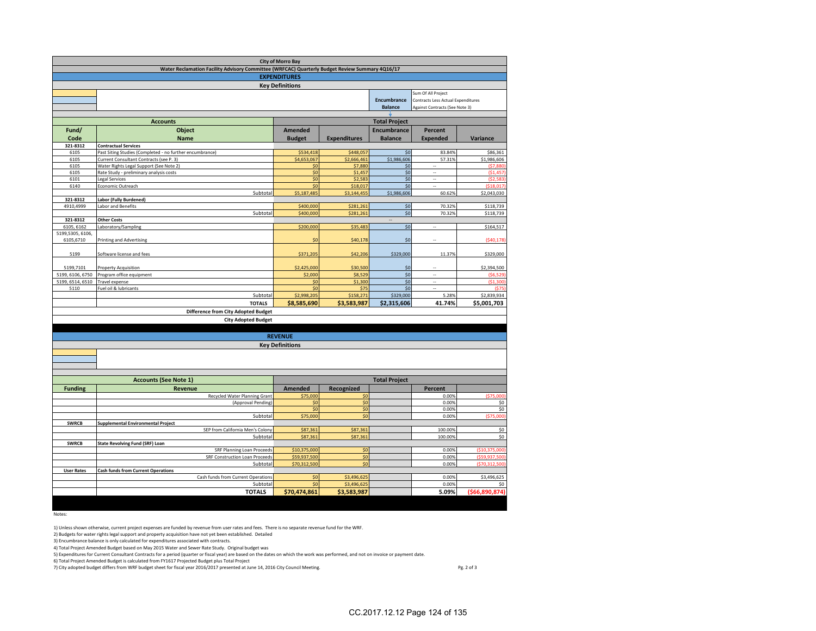| <b>City of Morro Bay</b>                                                                       |                                                                                 |                        |                                |                                           |                            |                |  |  |  |  |  |
|------------------------------------------------------------------------------------------------|---------------------------------------------------------------------------------|------------------------|--------------------------------|-------------------------------------------|----------------------------|----------------|--|--|--|--|--|
| Water Reclamation Facility Advisory Committee (WRFCAC) Quarterly Budget Review Summary 4Q16/17 |                                                                                 |                        |                                |                                           |                            |                |  |  |  |  |  |
| <b>EXPENDITURES</b>                                                                            |                                                                                 |                        |                                |                                           |                            |                |  |  |  |  |  |
|                                                                                                | <b>Key Definitions</b>                                                          |                        |                                |                                           |                            |                |  |  |  |  |  |
|                                                                                                | Sum Of All Project                                                              |                        |                                |                                           |                            |                |  |  |  |  |  |
|                                                                                                |                                                                                 |                        | <b>Encumbrance</b>             | <b>Contracts Less Actual Expenditures</b> |                            |                |  |  |  |  |  |
|                                                                                                |                                                                                 | <b>Balance</b>         | Against Contracts (See Note 3) |                                           |                            |                |  |  |  |  |  |
|                                                                                                | <b>Accounts</b>                                                                 | <b>Total Project</b>   |                                |                                           |                            |                |  |  |  |  |  |
| Fund/                                                                                          | <b>Object</b>                                                                   | <b>Amended</b>         |                                |                                           |                            |                |  |  |  |  |  |
| Code                                                                                           | <b>Name</b>                                                                     | <b>Budget</b>          | <b>Expenditures</b>            | <b>Encumbrance</b><br><b>Balance</b>      | Percent<br><b>Expended</b> | Variance       |  |  |  |  |  |
| 321-8312                                                                                       | <b>Contractual Services</b>                                                     |                        |                                |                                           |                            |                |  |  |  |  |  |
| 6105                                                                                           | Past Siting Studies (Completed - no further encumbrance)                        | \$534,418              | \$448,057                      | \$0                                       | 83.849                     | \$86,361       |  |  |  |  |  |
| 6105                                                                                           | Current Consultant Contracts (see P. 3)                                         | \$4,653,067            | \$2,666,461                    | \$1,986,606                               | 57.31%                     | \$1,986,606    |  |  |  |  |  |
| 6105                                                                                           | Water Rights Legal Support (See Note 2)                                         | \$0                    | \$7,880                        | \$0                                       |                            | (57, 880)      |  |  |  |  |  |
| 6105                                                                                           | Rate Study - preliminary analysis costs                                         | \$0                    | \$1,457                        | \$0                                       |                            | (51, 457)      |  |  |  |  |  |
| 6101                                                                                           | Legal Services                                                                  | \$0                    | \$2,583                        | \$0                                       | $\bar{a}$                  | (52.583)       |  |  |  |  |  |
| 6140                                                                                           | Economic Outreach                                                               | \$0                    | \$18,017                       | \$0                                       | ä,                         | 1518017        |  |  |  |  |  |
|                                                                                                | Subtotal                                                                        | \$5,187,485            | \$3,144,455                    | \$1,986,606                               | 60.62%                     | \$2,043,030    |  |  |  |  |  |
| 321-8312                                                                                       | Labor (Fully Burdened)                                                          |                        |                                |                                           |                            |                |  |  |  |  |  |
| 4910,4999                                                                                      | Labor and Benefits<br>Subtotal                                                  | \$400,000<br>\$400,000 | \$281,261<br>\$281,261         | \$0<br>\$0                                | 70.32%<br>70.32%           | \$118,739      |  |  |  |  |  |
| 321-8312                                                                                       | <b>Other Costs</b>                                                              |                        |                                |                                           |                            | \$118,739      |  |  |  |  |  |
| 6105, 6162                                                                                     | aboratory/Sampling                                                              | \$200,000              | \$35,483                       | \$0                                       | ÷.                         | \$164,517      |  |  |  |  |  |
| 5199,5305, 6106,                                                                               |                                                                                 |                        |                                |                                           |                            |                |  |  |  |  |  |
| 6105,6710                                                                                      | <b>Printing and Advertising</b>                                                 | \$0                    | \$40,178                       | \$0                                       | ٠.                         | (540, 178)     |  |  |  |  |  |
|                                                                                                |                                                                                 |                        |                                |                                           |                            |                |  |  |  |  |  |
| 5199                                                                                           | Software license and fees                                                       | \$371,205              | \$42,206                       | \$329,000                                 | 11.37%                     | \$329,000      |  |  |  |  |  |
|                                                                                                |                                                                                 |                        |                                |                                           |                            |                |  |  |  |  |  |
| 5199,7101                                                                                      | Property Acquisition                                                            | \$2,425,000            | \$30,500                       | \$0                                       | ä.                         | \$2,394,500    |  |  |  |  |  |
| 5199, 6106, 6750                                                                               | Program office equipment                                                        | \$2,000                | \$8,529                        | \$0                                       | $\sim$                     | (\$6.529       |  |  |  |  |  |
| 5199, 6514, 6510                                                                               | Travel expense                                                                  | \$0                    | \$1,300                        | \$0                                       | $\ddot{\phantom{a}}$       | (\$1,300       |  |  |  |  |  |
| 5110                                                                                           | Fuel oil & lubricants                                                           | \$0                    | \$75                           | \$0                                       | ă.                         | (57)           |  |  |  |  |  |
|                                                                                                | Subtotal                                                                        | \$2,998,205            | \$158,271                      | \$329,000                                 | 5.28%                      | \$2,839,934    |  |  |  |  |  |
|                                                                                                | <b>TOTALS</b>                                                                   | \$8,585,690            | \$3,583,987                    | \$2,315,606                               | 41.74%                     | \$5,001,703    |  |  |  |  |  |
|                                                                                                | <b>Difference from City Adopted Budget</b>                                      |                        |                                |                                           |                            |                |  |  |  |  |  |
| <b>City Adopted Budget</b>                                                                     |                                                                                 |                        |                                |                                           |                            |                |  |  |  |  |  |
|                                                                                                |                                                                                 |                        |                                |                                           |                            |                |  |  |  |  |  |
|                                                                                                |                                                                                 | <b>REVENUE</b>         |                                |                                           |                            |                |  |  |  |  |  |
|                                                                                                |                                                                                 | <b>Key Definitions</b> |                                |                                           |                            |                |  |  |  |  |  |
|                                                                                                |                                                                                 |                        |                                |                                           |                            |                |  |  |  |  |  |
|                                                                                                |                                                                                 |                        |                                |                                           |                            |                |  |  |  |  |  |
|                                                                                                |                                                                                 |                        |                                |                                           |                            |                |  |  |  |  |  |
|                                                                                                | <b>Accounts (See Note 1)</b>                                                    |                        |                                | <b>Total Project</b>                      |                            |                |  |  |  |  |  |
| <b>Funding</b>                                                                                 | <b>Revenue</b>                                                                  | <b>Amended</b>         | Recognized                     |                                           | Percent                    |                |  |  |  |  |  |
|                                                                                                | Recycled Water Planning Grant                                                   | \$75,000               | \$0                            |                                           | 0.00%                      | (575,000)      |  |  |  |  |  |
|                                                                                                | (Approval Pending)                                                              | \$0                    | \$0                            |                                           | 0.00%                      | \$0            |  |  |  |  |  |
|                                                                                                |                                                                                 | \$0                    | \$0                            |                                           | 0.00%                      | \$0            |  |  |  |  |  |
|                                                                                                | Subtota                                                                         | \$75,000               | \$0                            |                                           | 0.00%                      | (S75)<br>,000  |  |  |  |  |  |
| <b>SWRCB</b>                                                                                   | <b>Supplemental Environmental Project</b>                                       |                        |                                |                                           |                            |                |  |  |  |  |  |
|                                                                                                | SEP from California Men's Colony                                                | \$87,361               | \$87,361                       |                                           | 100.00%                    | \$0            |  |  |  |  |  |
|                                                                                                | Subtotal                                                                        | \$87,361               | \$87,361                       |                                           | 100.00%                    | \$0            |  |  |  |  |  |
| <b>SWRCB</b>                                                                                   | <b>State Revolving Fund (SRF) Loan</b>                                          |                        |                                |                                           |                            |                |  |  |  |  |  |
|                                                                                                | SRF Planning Loan Proceeds                                                      | \$10,375,000           | \$0                            |                                           | 0.00%                      | (\$10,375,000  |  |  |  |  |  |
|                                                                                                | SRF Construction Loan Proceeds                                                  | \$59,937,500           | \$0                            |                                           | 0.00%                      | (\$59,937,500  |  |  |  |  |  |
|                                                                                                | Subtotal                                                                        | \$70,312,500           | \$0                            |                                           | 0.00%                      | (\$70,312,500  |  |  |  |  |  |
| <b>User Rates</b>                                                                              | <b>Cash funds from Current Operations</b><br>Cash funds from Current Operations | \$0                    | \$3,496,625                    |                                           | 0.00%                      | \$3,496,625    |  |  |  |  |  |
|                                                                                                | Subtotal                                                                        | \$0                    | \$3,496,625                    |                                           | 0.00%                      | \$0            |  |  |  |  |  |
|                                                                                                | <b>TOTALS</b>                                                                   | \$70,474,861           | \$3,583,987                    |                                           | 5.09%                      | (\$66,890,874) |  |  |  |  |  |
|                                                                                                |                                                                                 |                        |                                |                                           |                            |                |  |  |  |  |  |
|                                                                                                |                                                                                 |                        |                                |                                           |                            |                |  |  |  |  |  |

Notes:

1) Unless shown otherwise, current project expenses are funded by revenue from user rates and fees. There is no separate revenue fund for the WRF.

2) Budgets for water rights legal support and property acquisition have not yet been established. Detailed

3) Encumbrance balance is only calculated for expenditures associated with contracts.

4) Total Project Amended Budget based on May 2015 Water and Sewer Rate Study. Original budget was

5) Expenditures for Current Consultant Contracts for a period (quarter or fiscal year) are based on the dates on which the work was performed, and not on invoice or payment date.

6) Total Project Amended Budget is calculated from FY1617 Projected Budget plus Total Project

7) City adopted budget differs from WRF budget sheet for fiscal year 2016/2017 presented at June 14, 2016 City Council Meeting. Pg. 2 of 3